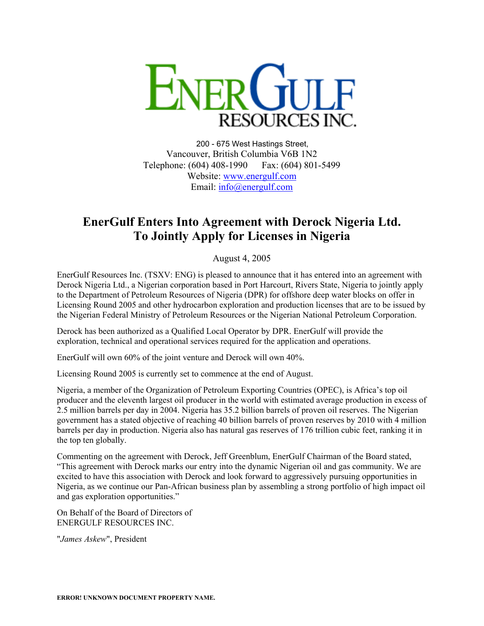

200 - 675 West Hastings Street, Vancouver, British Columbia V6B 1N2 Telephone: (604) 408-1990 Fax: (604) 801-5499 Website: [www.energulf.com](http://www.energulf.com/) Email: [info@energulf.com](mailto:info@energulf.com)

## **EnerGulf Enters Into Agreement with Derock Nigeria Ltd. To Jointly Apply for Licenses in Nigeria**

August 4, 2005

EnerGulf Resources Inc. (TSXV: ENG) is pleased to announce that it has entered into an agreement with Derock Nigeria Ltd., a Nigerian corporation based in Port Harcourt, Rivers State, Nigeria to jointly apply to the Department of Petroleum Resources of Nigeria (DPR) for offshore deep water blocks on offer in Licensing Round 2005 and other hydrocarbon exploration and production licenses that are to be issued by the Nigerian Federal Ministry of Petroleum Resources or the Nigerian National Petroleum Corporation.

Derock has been authorized as a Qualified Local Operator by DPR. EnerGulf will provide the exploration, technical and operational services required for the application and operations.

EnerGulf will own 60% of the joint venture and Derock will own 40%.

Licensing Round 2005 is currently set to commence at the end of August.

Nigeria, a member of the Organization of Petroleum Exporting Countries (OPEC), is Africa's top oil producer and the eleventh largest oil producer in the world with estimated average production in excess of 2.5 million barrels per day in 2004. Nigeria has 35.2 billion barrels of proven oil reserves. The Nigerian government has a stated objective of reaching 40 billion barrels of proven reserves by 2010 with 4 million barrels per day in production. Nigeria also has natural gas reserves of 176 trillion cubic feet, ranking it in the top ten globally.

Commenting on the agreement with Derock, Jeff Greenblum, EnerGulf Chairman of the Board stated, "This agreement with Derock marks our entry into the dynamic Nigerian oil and gas community. We are excited to have this association with Derock and look forward to aggressively pursuing opportunities in Nigeria, as we continue our Pan-African business plan by assembling a strong portfolio of high impact oil and gas exploration opportunities."

On Behalf of the Board of Directors of ENERGULF RESOURCES INC.

"*James Askew*", President